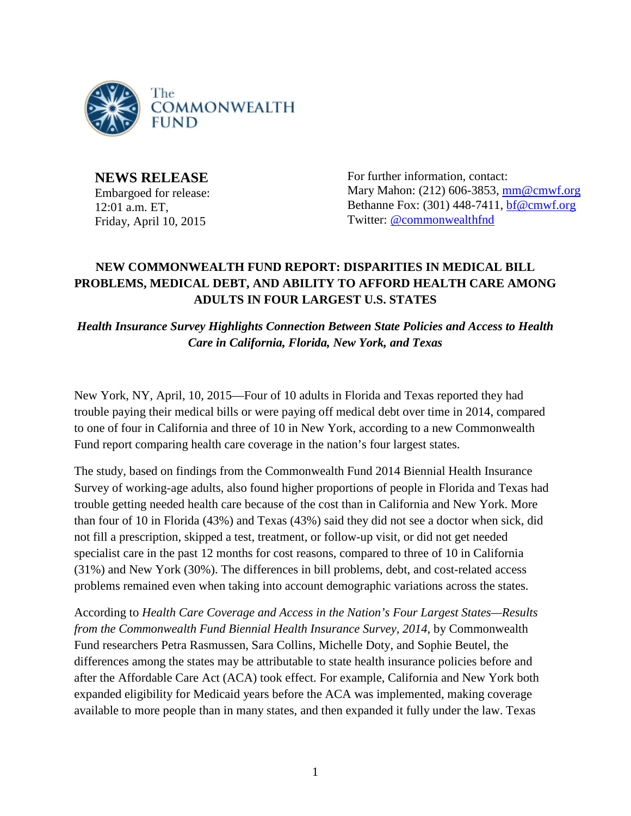

**NEWS RELEASE** Embargoed for release: 12:01 a.m. ET, Friday, April 10, 2015

For further information, contact: Mary Mahon: (212) 606-3853, [mm@cmwf.org](mailto:mm@cmwf.org) Bethanne Fox: (301) 448-7411, [bf@cmwf.org](mailto:jweymouth@burnesscommunications.com) Twitter: [@commonwealthfnd](http://twitter.com/%23!/commonwealthfnd)

## **NEW COMMONWEALTH FUND REPORT: DISPARITIES IN MEDICAL BILL PROBLEMS, MEDICAL DEBT, AND ABILITY TO AFFORD HEALTH CARE AMONG ADULTS IN FOUR LARGEST U.S. STATES**

*Health Insurance Survey Highlights Connection Between State Policies and Access to Health Care in California, Florida, New York, and Texas*

New York, NY, April, 10, 2015—Four of 10 adults in Florida and Texas reported they had trouble paying their medical bills or were paying off medical debt over time in 2014, compared to one of four in California and three of 10 in New York, according to a new Commonwealth Fund report comparing health care coverage in the nation's four largest states.

The study, based on findings from the Commonwealth Fund 2014 Biennial Health Insurance Survey of working-age adults, also found higher proportions of people in Florida and Texas had trouble getting needed health care because of the cost than in California and New York. More than four of 10 in Florida (43%) and Texas (43%) said they did not see a doctor when sick, did not fill a prescription, skipped a test, treatment, or follow-up visit, or did not get needed specialist care in the past 12 months for cost reasons, compared to three of 10 in California (31%) and New York (30%). The differences in bill problems, debt, and cost-related access problems remained even when taking into account demographic variations across the states.

According to *Health Care Coverage and Access in the Nation's Four Largest States—Results from the Commonwealth Fund Biennial Health Insurance Survey, 2014,* by Commonwealth Fund researchers Petra Rasmussen, Sara Collins, Michelle Doty, and Sophie Beutel, the differences among the states may be attributable to state health insurance policies before and after the Affordable Care Act (ACA) took effect. For example, California and New York both expanded eligibility for Medicaid years before the ACA was implemented, making coverage available to more people than in many states, and then expanded it fully under the law. Texas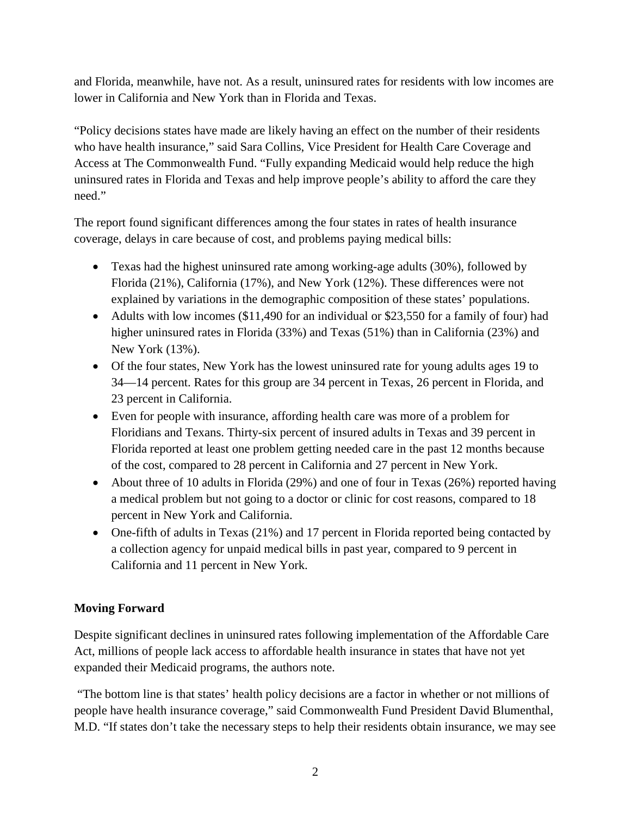and Florida, meanwhile, have not. As a result, uninsured rates for residents with low incomes are lower in California and New York than in Florida and Texas.

"Policy decisions states have made are likely having an effect on the number of their residents who have health insurance," said Sara Collins, Vice President for Health Care Coverage and Access at The Commonwealth Fund. "Fully expanding Medicaid would help reduce the high uninsured rates in Florida and Texas and help improve people's ability to afford the care they need."

The report found significant differences among the four states in rates of health insurance coverage, delays in care because of cost, and problems paying medical bills:

- Texas had the highest uninsured rate among working-age adults (30%), followed by Florida (21%), California (17%), and New York (12%). These differences were not explained by variations in the demographic composition of these states' populations.
- Adults with low incomes (\$11,490 for an individual or \$23,550 for a family of four) had higher uninsured rates in Florida (33%) and Texas (51%) than in California (23%) and New York (13%).
- Of the four states, New York has the lowest uninsured rate for young adults ages 19 to 34—14 percent. Rates for this group are 34 percent in Texas, 26 percent in Florida, and 23 percent in California.
- Even for people with insurance, affording health care was more of a problem for Floridians and Texans. Thirty-six percent of insured adults in Texas and 39 percent in Florida reported at least one problem getting needed care in the past 12 months because of the cost, compared to 28 percent in California and 27 percent in New York.
- About three of 10 adults in Florida (29%) and one of four in Texas (26%) reported having a medical problem but not going to a doctor or clinic for cost reasons, compared to 18 percent in New York and California.
- One-fifth of adults in Texas (21%) and 17 percent in Florida reported being contacted by a collection agency for unpaid medical bills in past year, compared to 9 percent in California and 11 percent in New York.

## **Moving Forward**

Despite significant declines in uninsured rates following implementation of the Affordable Care Act, millions of people lack access to affordable health insurance in states that have not yet expanded their Medicaid programs, the authors note.

"The bottom line is that states' health policy decisions are a factor in whether or not millions of people have health insurance coverage," said Commonwealth Fund President David Blumenthal, M.D. "If states don't take the necessary steps to help their residents obtain insurance, we may see